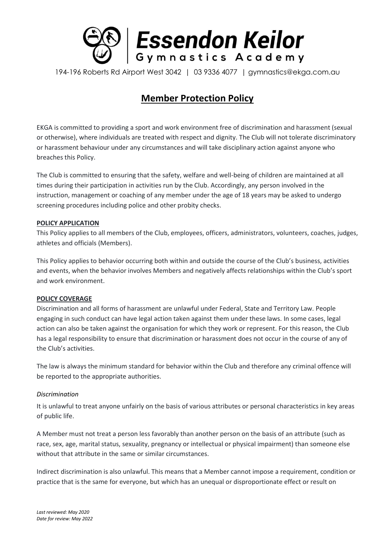

# **Member Protection Policy**

EKGA is committed to providing a sport and work environment free of discrimination and harassment (sexual or otherwise), where individuals are treated with respect and dignity. The Club will not tolerate discriminatory or harassment behaviour under any circumstances and will take disciplinary action against anyone who breaches this Policy.

The Club is committed to ensuring that the safety, welfare and well-being of children are maintained at all times during their participation in activities run by the Club. Accordingly, any person involved in the instruction, management or coaching of any member under the age of 18 years may be asked to undergo screening procedures including police and other probity checks.

## **POLICY APPLICATION**

This Policy applies to all members of the Club, employees, officers, administrators, volunteers, coaches, judges, athletes and officials (Members).

This Policy applies to behavior occurring both within and outside the course of the Club's business, activities and events, when the behavior involves Members and negatively affects relationships within the Club's sport and work environment.

# **POLICY COVERAGE**

Discrimination and all forms of harassment are unlawful under Federal, State and Territory Law. People engaging in such conduct can have legal action taken against them under these laws. In some cases, legal action can also be taken against the organisation for which they work or represent. For this reason, the Club has a legal responsibility to ensure that discrimination or harassment does not occur in the course of any of the Club's activities.

The law is always the minimum standard for behavior within the Club and therefore any criminal offence will be reported to the appropriate authorities.

# *Discrimination*

It is unlawful to treat anyone unfairly on the basis of various attributes or personal characteristics in key areas of public life.

A Member must not treat a person less favorably than another person on the basis of an attribute (such as race, sex, age, marital status, sexuality, pregnancy or intellectual or physical impairment) than someone else without that attribute in the same or similar circumstances.

Indirect discrimination is also unlawful. This means that a Member cannot impose a requirement, condition or practice that is the same for everyone, but which has an unequal or disproportionate effect or result on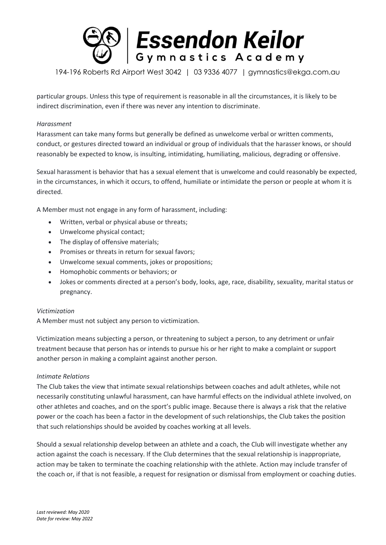

particular groups. Unless this type of requirement is reasonable in all the circumstances, it is likely to be indirect discrimination, even if there was never any intention to discriminate.

## *Harassment*

Harassment can take many forms but generally be defined as unwelcome verbal or written comments, conduct, or gestures directed toward an individual or group of individuals that the harasser knows, or should reasonably be expected to know, is insulting, intimidating, humiliating, malicious, degrading or offensive.

Sexual harassment is behavior that has a sexual element that is unwelcome and could reasonably be expected, in the circumstances, in which it occurs, to offend, humiliate or intimidate the person or people at whom it is directed.

A Member must not engage in any form of harassment, including:

- Written, verbal or physical abuse or threats;
- Unwelcome physical contact;
- The display of offensive materials;
- Promises or threats in return for sexual favors;
- Unwelcome sexual comments, jokes or propositions;
- Homophobic comments or behaviors; or
- Jokes or comments directed at a person's body, looks, age, race, disability, sexuality, marital status or pregnancy.

#### *Victimization*

A Member must not subject any person to victimization.

Victimization means subjecting a person, or threatening to subject a person, to any detriment or unfair treatment because that person has or intends to pursue his or her right to make a complaint or support another person in making a complaint against another person.

#### *Intimate Relations*

The Club takes the view that intimate sexual relationships between coaches and adult athletes, while not necessarily constituting unlawful harassment, can have harmful effects on the individual athlete involved, on other athletes and coaches, and on the sport's public image. Because there is always a risk that the relative power or the coach has been a factor in the development of such relationships, the Club takes the position that such relationships should be avoided by coaches working at all levels.

Should a sexual relationship develop between an athlete and a coach, the Club will investigate whether any action against the coach is necessary. If the Club determines that the sexual relationship is inappropriate, action may be taken to terminate the coaching relationship with the athlete. Action may include transfer of the coach or, if that is not feasible, a request for resignation or dismissal from employment or coaching duties.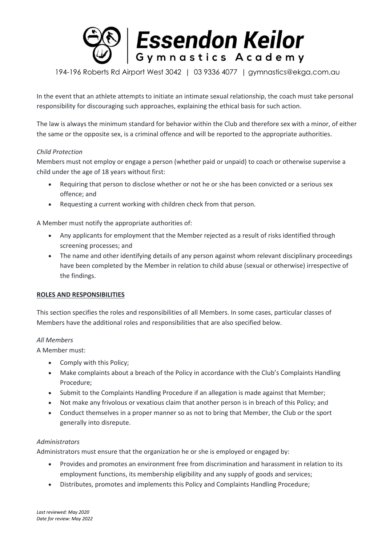

In the event that an athlete attempts to initiate an intimate sexual relationship, the coach must take personal responsibility for discouraging such approaches, explaining the ethical basis for such action.

The law is always the minimum standard for behavior within the Club and therefore sex with a minor, of either the same or the opposite sex, is a criminal offence and will be reported to the appropriate authorities.

## *Child Protection*

Members must not employ or engage a person (whether paid or unpaid) to coach or otherwise supervise a child under the age of 18 years without first:

- Requiring that person to disclose whether or not he or she has been convicted or a serious sex offence; and
- Requesting a current working with children check from that person.

A Member must notify the appropriate authorities of:

- Any applicants for employment that the Member rejected as a result of risks identified through screening processes; and
- The name and other identifying details of any person against whom relevant disciplinary proceedings have been completed by the Member in relation to child abuse (sexual or otherwise) irrespective of the findings.

#### **ROLES AND RESPONSIBILITIES**

This section specifies the roles and responsibilities of all Members. In some cases, particular classes of Members have the additional roles and responsibilities that are also specified below.

#### *All Members*

A Member must:

- Comply with this Policy;
- Make complaints about a breach of the Policy in accordance with the Club's Complaints Handling Procedure;
- Submit to the Complaints Handling Procedure if an allegation is made against that Member;
- Not make any frivolous or vexatious claim that another person is in breach of this Policy; and
- Conduct themselves in a proper manner so as not to bring that Member, the Club or the sport generally into disrepute.

# *Administrators*

Administrators must ensure that the organization he or she is employed or engaged by:

- Provides and promotes an environment free from discrimination and harassment in relation to its employment functions, its membership eligibility and any supply of goods and services;
- Distributes, promotes and implements this Policy and Complaints Handling Procedure;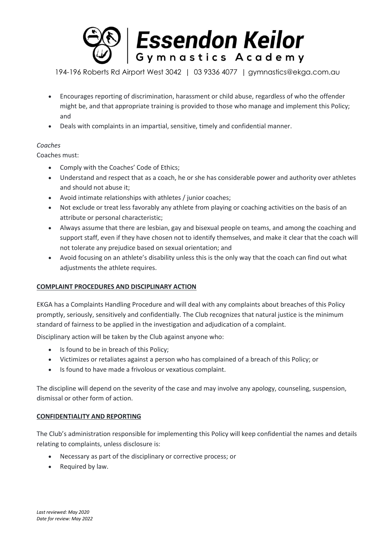

- Encourages reporting of discrimination, harassment or child abuse, regardless of who the offender might be, and that appropriate training is provided to those who manage and implement this Policy; and
- Deals with complaints in an impartial, sensitive, timely and confidential manner.

# *Coaches*

Coaches must:

- Comply with the Coaches' Code of Ethics;
- Understand and respect that as a coach, he or she has considerable power and authority over athletes and should not abuse it;
- Avoid intimate relationships with athletes / junior coaches;
- Not exclude or treat less favorably any athlete from playing or coaching activities on the basis of an attribute or personal characteristic;
- Always assume that there are lesbian, gay and bisexual people on teams, and among the coaching and support staff, even if they have chosen not to identify themselves, and make it clear that the coach will not tolerate any prejudice based on sexual orientation; and
- Avoid focusing on an athlete's disability unless this is the only way that the coach can find out what adjustments the athlete requires.

# **COMPLAINT PROCEDURES AND DISCIPLINARY ACTION**

EKGA has a Complaints Handling Procedure and will deal with any complaints about breaches of this Policy promptly, seriously, sensitively and confidentially. The Club recognizes that natural justice is the minimum standard of fairness to be applied in the investigation and adjudication of a complaint.

Disciplinary action will be taken by the Club against anyone who:

- Is found to be in breach of this Policy;
- Victimizes or retaliates against a person who has complained of a breach of this Policy; or
- Is found to have made a frivolous or vexatious complaint.

The discipline will depend on the severity of the case and may involve any apology, counseling, suspension, dismissal or other form of action.

# **CONFIDENTIALITY AND REPORTING**

The Club's administration responsible for implementing this Policy will keep confidential the names and details relating to complaints, unless disclosure is:

- Necessary as part of the disciplinary or corrective process; or
- Required by law.